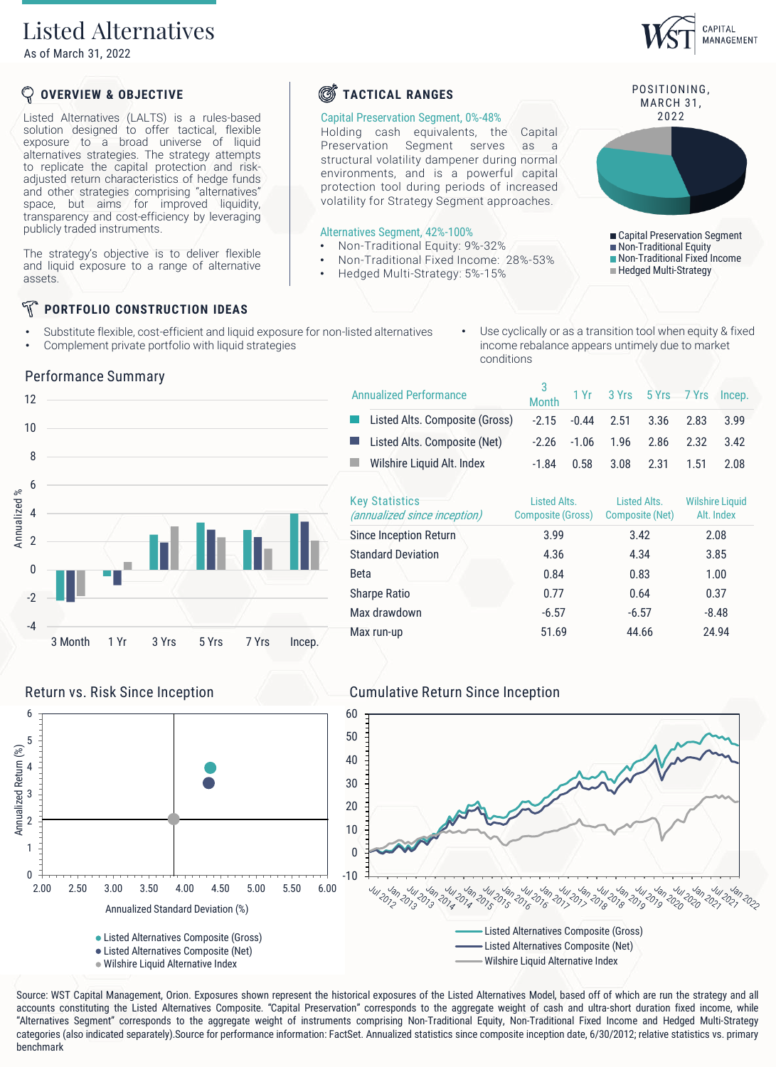## Listed Alternatives

As of March 31, 2022

### **OVERVIEW & OBJECTIVE**

Listed Alternatives (LALTS) is a rules-based solution designed to offer tactical, flexible exposure to a broad universe of liquid alternatives strategies. The strategy attempts to replicate the capital protection and riskadjusted return characteristics of hedge funds and other strategies comprising "alternatives" space, but aims for improved liquidity, transparency and cost-efficiency by leveraging publicly traded instruments.

The strategy's objective is to deliver flexible and liquid exposure to a range of alternative assets.

### N **PORTFOLIO CONSTRUCTION IDEAS**

- Substitute flexible, cost-efficient and liquid exposure for non-listed alternatives
- Complement private portfolio with liquid strategies

## **S**TACTICAL RANGES

### Capital Preservation Segment, 0%-48%

Holding cash equivalents, the Capital Preservation Segment serves as a structural volatility dampener during normal environments, and is a powerful capital protection tool during periods of increased volatility for Strategy Segment approaches.

### Alternatives Segment, 42%-100%

- Non-Traditional Equity: 9%-32%
- Non-Traditional Fixed Income: 28%-53%
- Hedged Multi-Strategy: 5%-15%

Annualized Performance

### Use cyclically or as a transition tool when equity & fixed income rebalance appears untimely due to market conditions

Month 1 Yr 3 Yrs 5 Yrs 7 Yrs Incep.





Annualized Standard Deviation (%)

Listed Alternatives Composite (Gross) Listed Alternatives Composite (Net) Wilshire Liquid Alternative Index

| Listed Alts. Composite (Gross)                        | $-2.15$                                  | $-0.44$ | 2.51                            | 3.36 | 2.83                                 | 3.99 |  |
|-------------------------------------------------------|------------------------------------------|---------|---------------------------------|------|--------------------------------------|------|--|
| Listed Alts. Composite (Net)                          | $-2.26$                                  | $-1.06$ | 1.96                            | 2.86 | 2.32                                 | 3.42 |  |
| Wilshire Liquid Alt. Index                            | $-1.84$                                  | 0.58    | 3.08                            | 2.31 | 1.51                                 | 2.08 |  |
| <b>Key Statistics</b><br>(annualized since inception) | Listed Alts.<br><b>Composite (Gross)</b> |         | Listed Alts.<br>Composite (Net) |      | <b>Wilshire Liquid</b><br>Alt. Index |      |  |
| Since Inception Return                                | 3.99                                     |         |                                 | 3.42 | 2.08                                 |      |  |
| <b>Standard Deviation</b>                             | 4.36                                     |         | 4.34                            |      | 3.85                                 |      |  |
| <b>Beta</b>                                           | 0.84                                     |         | 0.83                            |      | 1.00                                 |      |  |
| <b>Sharpe Ratio</b>                                   | 0.77                                     |         |                                 | 0.64 | 0.37                                 |      |  |

Max drawdown -6.57 -6.57 -8.48 Max run-up 51.69 44.66 24.94

3

### Return vs. Risk Since Inception Cumulative Return Since Inception



Source: WST Capital Management, Orion. Exposures shown represent the historical exposures of the Listed Alternatives Model, based off of which are run the strategy and all accounts constituting the Listed Alternatives Composite. "Capital Preservation" corresponds to the aggregate weight of cash and ultra-short duration fixed income, while "Alternatives Segment" corresponds to the aggregate weight of instruments comprising Non-Traditional Equity, Non-Traditional Fixed Income and Hedged Multi-Strategy categories (also indicated separately).Source for performance information: FactSet. Annualized statistics since composite inception date, 6/30/2012; relative statistics vs. primary



0 1

2 3

4

Annualized Return (%)

Annualized Return (%)

5 6



POSITIONING,

CAPITAL MANAGEMENT

■ Capital Preservation Segment Non-Traditional Equity

- 
- - Non-Traditional Fixed Income
	- **Hedged Multi-Strategy**